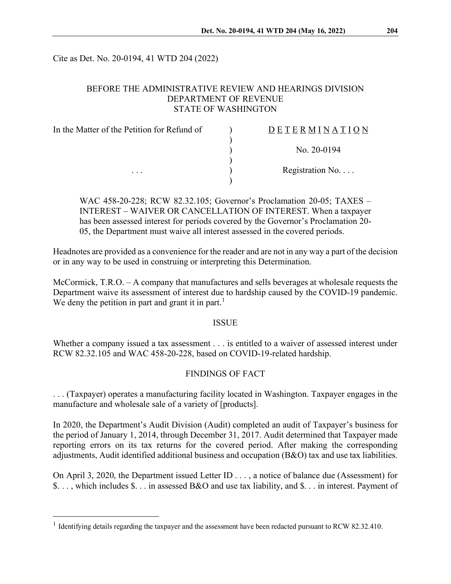Cite as Det. No. 20-0194, 41 WTD 204 (2022)

## BEFORE THE ADMINISTRATIVE REVIEW AND HEARINGS DIVISION DEPARTMENT OF REVENUE STATE OF WASHINGTON

| In the Matter of the Petition for Refund of | $D$ E T E R M I N A T I O N |
|---------------------------------------------|-----------------------------|
|                                             |                             |
|                                             | No. 20-0194                 |
|                                             |                             |
| $\cdots$                                    | Registration No. $\dots$    |
|                                             |                             |

WAC 458-20-228; RCW 82.32.105; Governor's Proclamation 20-05; TAXES – INTEREST – WAIVER OR CANCELLATION OF INTEREST. When a taxpayer has been assessed interest for periods covered by the Governor's Proclamation 20- 05, the Department must waive all interest assessed in the covered periods.

Headnotes are provided as a convenience for the reader and are not in any way a part of the decision or in any way to be used in construing or interpreting this Determination.

McCormick, T.R.O. – A company that manufactures and sells beverages at wholesale requests the Department waive its assessment of interest due to hardship caused by the COVID-19 pandemic. We deny the petition in part and grant it in part.<sup>[1](#page-0-0)</sup>

#### ISSUE

Whether a company issued a tax assessment . . . is entitled to a waiver of assessed interest under RCW 82.32.105 and WAC 458-20-228, based on COVID-19-related hardship.

# FINDINGS OF FACT

. . . (Taxpayer) operates a manufacturing facility located in Washington. Taxpayer engages in the manufacture and wholesale sale of a variety of [products].

In 2020, the Department's Audit Division (Audit) completed an audit of Taxpayer's business for the period of January 1, 2014, through December 31, 2017. Audit determined that Taxpayer made reporting errors on its tax returns for the covered period. After making the corresponding adjustments, Audit identified additional business and occupation (B&O) tax and use tax liabilities.

On April 3, 2020, the Department issued Letter ID . . . , a notice of balance due (Assessment) for \$. . . , which includes \$. . . in assessed B&O and use tax liability, and \$. . . in interest. Payment of

<span id="page-0-0"></span><sup>&</sup>lt;sup>1</sup> Identifying details regarding the taxpayer and the assessment have been redacted pursuant to RCW 82.32.410.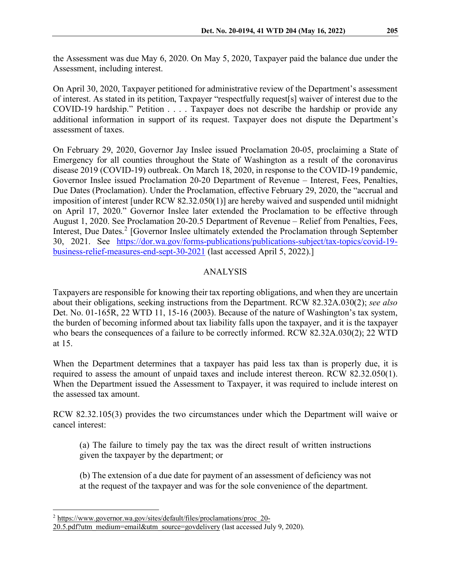On April 30, 2020, Taxpayer petitioned for administrative review of the Department's assessment of interest. As stated in its petition, Taxpayer "respectfully request[s] waiver of interest due to the COVID-19 hardship." Petition . . . . Taxpayer does not describe the hardship or provide any additional information in support of its request. Taxpayer does not dispute the Department's assessment of taxes.

On February 29, 2020, Governor Jay Inslee issued Proclamation 20-05, proclaiming a State of Emergency for all counties throughout the State of Washington as a result of the coronavirus disease 2019 (COVID-19) outbreak. On March 18, 2020, in response to the COVID-19 pandemic, Governor Inslee issued Proclamation 20-20 Department of Revenue – Interest, Fees, Penalties, Due Dates (Proclamation). Under the Proclamation, effective February 29, 2020, the "accrual and imposition of interest [under RCW 82.32.050(1)] are hereby waived and suspended until midnight on April 17, 2020." Governor Inslee later extended the Proclamation to be effective through August 1, 2020. See Proclamation 20-20.5 Department of Revenue – Relief from Penalties, Fees, Interest, Due Dates.<sup>[2](#page-1-0)</sup> [Governor Inslee ultimately extended the Proclamation through September 30, 2021. See [https://dor.wa.gov/forms-publications/publications-subject/tax-topics/covid-19](https://dor.wa.gov/forms-publications/publications-subject/tax-topics/covid-19-business-relief-measures-end-sept-30-2021) [business-relief-measures-end-sept-30-2021](https://dor.wa.gov/forms-publications/publications-subject/tax-topics/covid-19-business-relief-measures-end-sept-30-2021) (last accessed April 5, 2022).]

# ANALYSIS

Taxpayers are responsible for knowing their tax reporting obligations, and when they are uncertain about their obligations, seeking instructions from the Department. RCW 82.32A.030(2); *see also* Det. No. 01-165R, 22 WTD 11, 15-16 (2003). Because of the nature of Washington's tax system, the burden of becoming informed about tax liability falls upon the taxpayer, and it is the taxpayer who bears the consequences of a failure to be correctly informed. RCW 82.32A.030(2); 22 WTD at 15.

When the Department determines that a taxpayer has paid less tax than is properly due, it is required to assess the amount of unpaid taxes and include interest thereon. RCW 82.32.050(1). When the Department issued the Assessment to Taxpayer, it was required to include interest on the assessed tax amount.

RCW 82.32.105(3) provides the two circumstances under which the Department will waive or cancel interest:

(a) The failure to timely pay the tax was the direct result of written instructions given the taxpayer by the department; or

(b) The extension of a due date for payment of an assessment of deficiency was not at the request of the taxpayer and was for the sole convenience of the department.

<span id="page-1-0"></span><sup>2</sup> [https://www.governor.wa.gov/sites/default/files/proclamations/proc\\_20-](https://www.governor.wa.gov/sites/default/files/proclamations/proc_20-20.5.pdf?utm_medium=email&utm_source=govdelivery)

[<sup>20.5.</sup>pdf?utm\\_medium=email&utm\\_source=govdelivery](https://www.governor.wa.gov/sites/default/files/proclamations/proc_20-20.5.pdf?utm_medium=email&utm_source=govdelivery) (last accessed July 9, 2020).